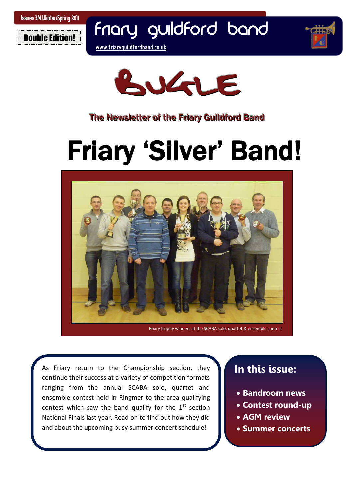

Friary Guildford Band







### The Newsletter of the Friary Guildford Band

# Friary 'Silver' Band!



Friary trophy winners at the SCABA solo, quartet & ensemble contest

 continue their success at a variety of competition formats  National Finals last year. Read on to find out how they did  As Friary return to the Championship section, they ranging from the annual SCABA solo, quartet and ensemble contest held in Ringmer to the area qualifying contest which saw the band qualify for the  $1<sup>st</sup>$  section and about the upcoming busy summer concert schedule!

### **In this issue:**

- **Bandroom news**
- **Contest round-up**
- **AGM review**
- **Summer concerts**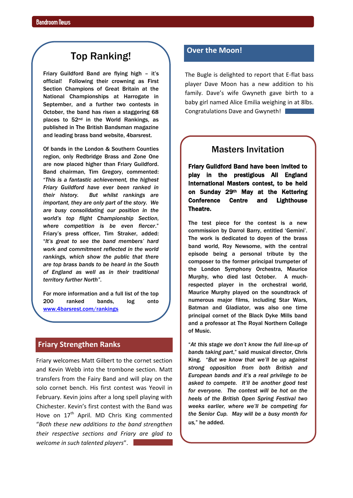### Top Ranking!

Friary Guildford Band are flying high - it's official! Following their crowning as First Section Champions of Great Britain at the National Championships at Harrogate in September, and a further two contests in October, the band has risen a staggering 68 places to 52nd in the World Rankings, as published in The British Bandsman magazine and leading brass band website, 4barsrest.

Of bands in the London & Southern Counties region, only Redbridge Brass and Zone One are now placed higher than Friary Guildford. Band chairman, Tim Gregory, commented: "*This is a fantastic achievement, the highest Friary Guildford have ever been ranked in their history. But whilst rankings are important, they are only part of the story. We are busy consolidating our position in the world's top flight Championship Section, where competition is be even fiercer*." Friary"s press officer, Tim Straker, added: "*It's great to see the band members' hard work and commitment reflected in the world rankings, which show the public that there are top brass bands to be heard in the South of England as well as in their traditional territory further North"*.

For more information and a full list of the top 200 ranked bands, log onto [www.4barsrest.com/rankings](file:///C:/Users/Rich/Documents/Friary%20Bugle/Final%20Bugles/www.4barsrest.com/rankings)

#### **Friary Strengthen Ranks**

Friary welcomes Matt Gilbert to the cornet section and Kevin Webb into the trombone section. Matt transfers from the Fairy Band and will play on the solo cornet bench. His first contest was Yeovil in February. Kevin joins after a long spell playing with Chichester. Kevin's first contest with the Band was Hove on 17<sup>th</sup> April. MD Chris King commented "*Both these new additions to the band strengthen their respective sections and Friary are glad to welcome in such talented players*".

#### **Over the Moon!**

The Bugle is delighted to report that E-flat bass player Dave Moon has a new addition to his family. Dave's wife Gwyneth gave birth to a baby girl named Alice Emilia weighing in at 8lbs. Congratulations Dave and Gwyneth!

#### Masters Invitation

Friary Guildford Band have been invited to play in the prestigious All England International Masters contest, to be held on Sunday 29th May at the Kettering Conference Centre and Lighthouse Theatre.

The test piece for the contest is a new commission by Darrol Barry, entitled "Gemini". The work is dedicated to doyen of the brass band world, Roy Newsome, with the central episode being a personal tribute by the composer to the former principal trumpeter of the London Symphony Orchestra, Maurice Murphy, who died last October. A muchrespected player in the orchestral world, Maurice Murphy played on the soundtrack of numerous major films, including Star Wars, Batman and Gladiator, was also one time principal cornet of the Black Dyke Mills band and a professor at The Royal Northern College of Music.

"*At this stage we don't know the full line-up of bands taking part*," said musical director, Chris King. "*But we know that we'll be up against strong opposition from both British and European bands and it's a real privilege to be asked to compete. It'll be another good test for everyone. The contest will be hot on the heels of the British Open Spring Festival two weeks earlier, where we'll be competing for the Senior Cup. May will be a busy month for us,*" he added.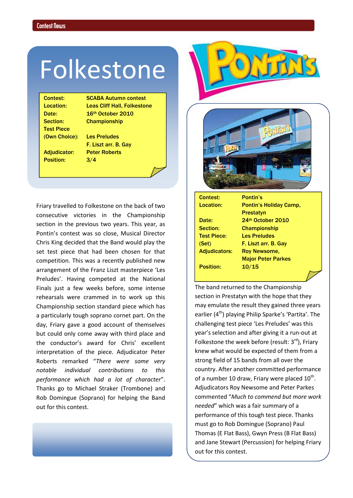## Folkestone

Test Piece

Contest: SCABA Autumn contest Location: Leas Cliff Hall, Folkestone Date: 16<sup>th</sup> October 2010 Section: Championship

Position: 3/4

(Own Choice): Les Preludes F. Liszt arr. B. Gay Adjudicator: Peter Roberts

Finals just a few weeks before, some intense **Final Prand returned to the Championship** Friary travelled to Folkestone on the back of two consecutive victories in the Championship section in the previous two years. This year, as Pontin's contest was so close, Musical Director Chris King decided that the Band would play the set test piece that had been chosen for that competition. This was a recently published new arrangement of the Franz Liszt masterpiece 'Les Preludes'. Having competed at the National rehearsals were crammed in to work up this Championship section standard piece which has a particularly tough soprano cornet part. On the day, Friary gave a good account of themselves but could only come away with third place and the conductor's award for Chris' excellent interpretation of the piece. Adjudicator Peter Roberts remarked "*There were some very notable individual contributions to this performance which had a lot of character*". Thanks go to Michael Straker (Trombone) and Rob Domingue (Soprano) for helping the Band out for this contest.





| Contest:             | <b>Pontin's</b>               |
|----------------------|-------------------------------|
| Location:            | <b>Pontin's Holiday Camp.</b> |
|                      | <b>Prestatyn</b>              |
| Date:                | 24th October 2010             |
| Section:             | <b>Championship</b>           |
| <b>Test Piece:</b>   | <b>Les Preludes</b>           |
| (Set)                | F. Liszt arr. B. Gay          |
| <b>Adjudicators:</b> | <b>Roy Newsome.</b>           |
|                      | <b>Major Peter Parkes</b>     |
| <b>Position:</b>     | 10/15                         |
|                      |                               |

section in Prestatyn with the hope that they may emulate the result they gained three years earlier  $(4<sup>th</sup>)$  playing Philip Sparke's 'Partita'. The challenging test piece 'Les Preludes' was this year's selection and after giving it a run-out at Folkestone the week before (result:  $3<sup>rd</sup>$ ), Friary knew what would be expected of them from a strong field of 15 bands from all over the country. After another committed performance of a number 10 draw, Friary were placed  $10^{\text{th}}$ . Adjudicators Roy Newsome and Peter Parkes commented "*Much to commend but more work needed*" which was a fair summary of a performance of this tough test piece. Thanks must go to Rob Domingue (Soprano) Paul Thomas (E Flat Bass), Gwyn Press (B Flat Bass) and Jane Stewart (Percussion) for helping Friary out for this contest.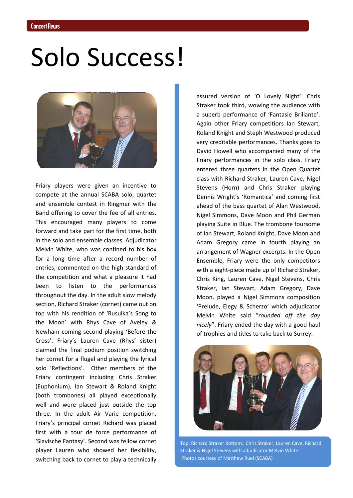# Solo Success!



Friary players were given an incentive to compete at the annual SCABA solo, quartet and ensemble contest in Ringmer with the Band offering to cover the fee of all entries. This encouraged many players to come forward and take part for the first time, both in the solo and ensemble classes. Adjudicator Melvin White, who was confined to his box for a long time after a record number of entries, commented on the high standard of the competition and what a pleasure it had been to listen to the performances throughout the day. In the adult slow melody section, Richard Straker (cornet) came out on top with his rendition of 'Rusulka's Song to the Moon' with Rhys Cave of Aveley & Newham coming second playing 'Before the Cross'. Friary's Lauren Cave (Rhys' sister) claimed the final podium position switching her cornet for a flugel and playing the lyrical solo 'Reflections'. Other members of the Friary contingent including Chris Straker (Euphonium), Ian Stewart & Roland Knight (both trombones) all played exceptionally well and were placed just outside the top three. In the adult Air Varie competition, Friary's principal cornet Richard was placed first with a tour de force performance of 'Slavische Fantasy'. Second was fellow cornet player Lauren who showed her flexibility, switching back to cornet to play a technically

assured version of 'O Lovely Night'. Chris Straker took third, wowing the audience with a superb performance of 'Fantasie Brillante'. Again other Friary competitiors Ian Stewart, Roland Knight and Steph Westwood produced very creditable performances. Thanks goes to David Howell who accompanied many of the Friary performances in the solo class. Friary entered three quartets in the Open Quartet class with Richard Straker, Lauren Cave, Nigel Stevens (Horn) and Chris Straker playing Dennis Wright's 'Romantica' and coming first ahead of the bass quartet of Alan Westwood, Nigel Simmons, Dave Moon and Phil German playing Suite in Blue. The trombone foursome of Ian Stewart, Roland Knight, Dave Moon and Adam Gregory came in fourth playing an arrangement of Wagner excerpts. In the Open Ensemble, Friary were the only competitors with a eight-piece made up of Richard Straker, Chris King, Lauren Cave, Nigel Stevens, Chris Straker, Ian Stewart, Adam Gregory, Dave Moon, played a Nigel Simmons composition 'Prelude, Elegy & Scherzo' which adjudicator Melvin White said "*rounded off the day nicely*". Friary ended the day with a good haul of trophies and titles to take back to Surrey.



Top: Richard Straker Bottom: Chris Straker, Lauren Cave, Richard Straker & Nigel Stevens with adjudicator Melvin White. Photos courtesy of Matthew Ruel (SCABA)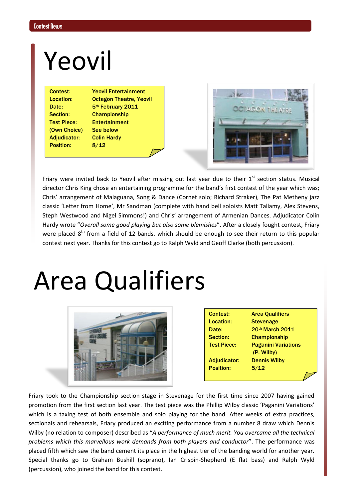## Yeovil

(Own Choice) See below Adjudicator: Colin Hardy Position: 8/12

Contest: Yeovil Entertainment Location: Octagon Theatre, Yeovil Date: 5<sup>th</sup> February 2011 Section: Championship Test Piece: Entertainment

|  | ao |  |
|--|----|--|
|  |    |  |
|  |    |  |
|  |    |  |

Friary were invited back to Yeovil after missing out last year due to their  $1<sup>st</sup>$  section status. Musical director Chris King chose an entertaining programme for the band's first contest of the year which was; Chris' arrangement of Malaguana, Song & Dance (Cornet solo; Richard Straker), The Pat Metheny jazz classic 'Letter from Home', Mr Sandman (complete with hand bell soloists Matt Tallamy, Alex Stevens, Steph Westwood and Nigel Simmons!) and Chris' arrangement of Armenian Dances. Adjudicator Colin Hardy wrote "*Overall some good playing but also some blemishes*". After a closely fought contest, Friary were placed 8<sup>th</sup> from a field of 12 bands. which should be enough to see their return to this popular contest next year. Thanks for this contest go to Ralph Wyld and Geoff Clarke (both percussion).

# Area Qualifiers



| <b>Contest:</b>     | <b>Area Qualifiers</b>     |  |
|---------------------|----------------------------|--|
| Location:           | <b>Stevenage</b>           |  |
| Date:               | 20th March 2011            |  |
| Section:            | <b>Championship</b>        |  |
| <b>Test Piece:</b>  | <b>Paganini Variations</b> |  |
|                     | (P. Wilby)                 |  |
| <b>Adjudicator:</b> | <b>Dennis Wilby</b>        |  |
| <b>Position:</b>    | 5/12                       |  |
|                     |                            |  |
|                     |                            |  |

Friary took to the Championship section stage in Stevenage for the first time since 2007 having gained promotion from the first section last year. The test piece was the Phillip Wilby classic 'Paganini Variations' which is a taxing test of both ensemble and solo playing for the band. After weeks of extra practices, sectionals and rehearsals, Friary produced an exciting performance from a number 8 draw which Dennis Wilby (no relation to composer) described as "*A performance of much merit. You overcame all the technical problems which this marvellous work demands from both players and conductor*". The performance was placed fifth which saw the band cement its place in the highest tier of the banding world for another year. Special thanks go to Graham Bushill (soprano), Ian Crispin-Shepherd (E flat bass) and Ralph Wyld (percussion), who joined the band for this contest.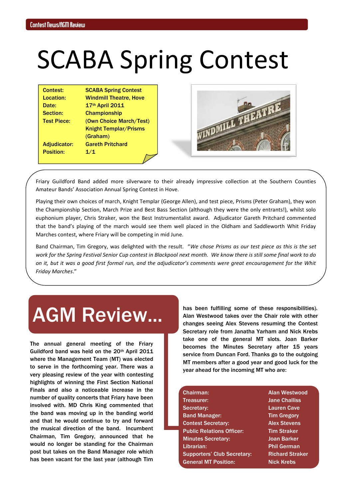# SCABA Spring Contest

| <b>Contest:</b>     | <b>SCABA Spring Contest</b>   |
|---------------------|-------------------------------|
| Location:           | <b>Windmill Theatre, Hove</b> |
| Date:               | 17th April 2011               |
| Section:            | <b>Championship</b>           |
| <b>Test Piece:</b>  | (Own Choice March/Test)       |
|                     | <b>Knight Templar/Prisms</b>  |
|                     | (Graham)                      |
| <b>Adjudicator:</b> | <b>Gareth Pritchard</b>       |
| <b>Position:</b>    | 1/1                           |
|                     |                               |



Friary Guildford Band added more silverware to their already impressive collection at the Southern Counties Amateur Bands' Association Annual Spring Contest in Hove.

Playing their own choices of march, Knight Templar (George Allen), and test piece, Prisms (Peter Graham), they won the Championship Section, March Prize and Best Bass Section (although they were the only entrants!), whilst solo euphonium player, Chris Straker, won the Best Instrumentalist award. Adjudicator Gareth Pritchard commented that the band's playing of the march would see them well placed in the Oldham and Saddleworth Whit Friday Marches contest, where Friary will be competing in mid June.

Band Chairman, Tim Gregory, was delighted with the result. "*We chose Prisms as our test piece as this is the set work for the Spring Festival Senior Cup contest in Blackpool next month. We know there is still some final work to do on it, but it was a good first formal run, and the adjudicator's comments were great encouragement for the Whit Friday Marches*."

### AGM Review...

The annual general meeting of the Friary Guildford band was held on the 20th April 2011 where the Management Team (MT) was elected to serve in the forthcoming year. There was a very pleasing review of the year with contesting highlights of winning the First Section National Finals and also a noticeable increase in the number of quality concerts that Friary have been involved with. MD Chris King commented that the band was moving up in the banding world and that he would continue to try and forward the musical direction of the band. Incumbent Chairman, Tim Gregory, announced that he would no longer be standing for the Chairman post but takes on the Band Manager role which has been vacant for the last year (although Tim

has been fulfilling some of these responsibilities). Alan Westwood takes over the Chair role with other changes seeing Alex Stevens resuming the Contest Secretary role from Janatha Yarham and Nick Krebs take one of the general MT slots. Joan Barker becomes the Minutes Secretary after 15 years service from Duncan Ford. Thanks go to the outgoing MT members after a good year and good luck for the year ahead for the incoming MT who are:

| Chairman:                          | <b>Alan Westwood</b>   |  |
|------------------------------------|------------------------|--|
| <b>Treasurer:</b>                  | <b>Jane Challiss</b>   |  |
| Secretary:                         | <b>Lauren Cave</b>     |  |
| <b>Band Manager:</b>               | <b>Tim Gregory</b>     |  |
| <b>Contest Secretary:</b>          | <b>Alex Stevens</b>    |  |
| <b>Public Relations Officer:</b>   | <b>Tim Straker</b>     |  |
| <b>Minutes Secretary:</b>          | Joan Barker            |  |
| Librarian:                         | <b>Phil German</b>     |  |
| <b>Supporters' Club Secretary:</b> | <b>Richard Straker</b> |  |
| <b>General MT Position:</b>        | <b>Nick Krebs</b>      |  |
|                                    |                        |  |